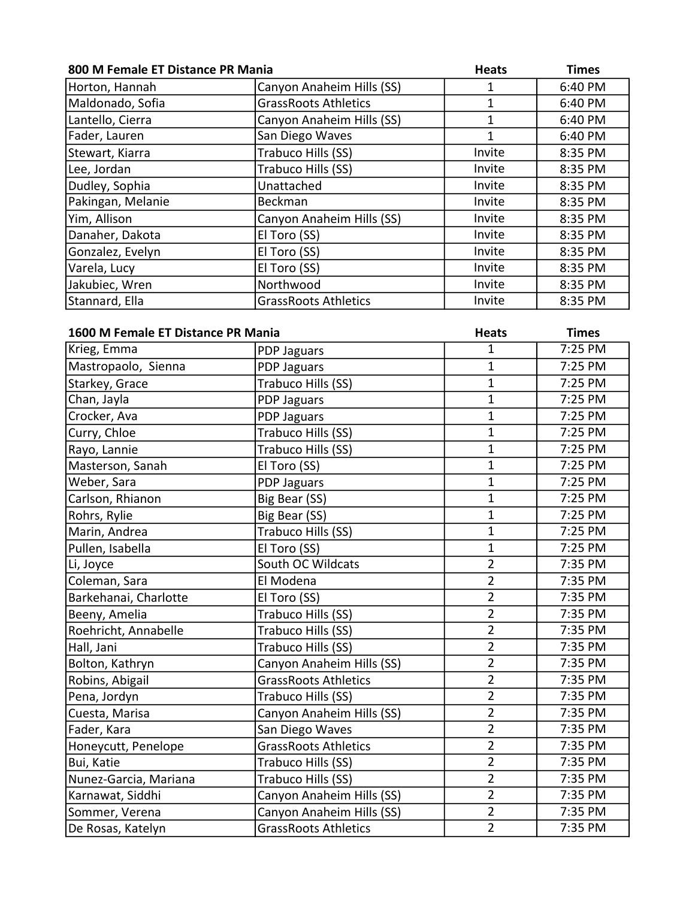| 800 M Female ET Distance PR Mania  |                             | <b>Heats</b>   | <b>Times</b> |
|------------------------------------|-----------------------------|----------------|--------------|
| Horton, Hannah                     | Canyon Anaheim Hills (SS)   | 1              | 6:40 PM      |
| Maldonado, Sofia                   | <b>GrassRoots Athletics</b> | $\mathbf{1}$   | 6:40 PM      |
| Lantello, Cierra                   | Canyon Anaheim Hills (SS)   | $\mathbf{1}$   | 6:40 PM      |
| Fader, Lauren                      | San Diego Waves             | $\overline{1}$ | 6:40 PM      |
| Stewart, Kiarra                    | Trabuco Hills (SS)          | Invite         | 8:35 PM      |
| Lee, Jordan                        | Trabuco Hills (SS)          | Invite         | 8:35 PM      |
| Dudley, Sophia                     | Unattached                  | Invite         | 8:35 PM      |
| Pakingan, Melanie                  | Beckman                     | Invite         | 8:35 PM      |
| Yim, Allison                       | Canyon Anaheim Hills (SS)   | Invite         | 8:35 PM      |
| Danaher, Dakota                    | El Toro (SS)                | Invite         | 8:35 PM      |
| Gonzalez, Evelyn                   | El Toro (SS)                | Invite         | 8:35 PM      |
| Varela, Lucy                       | El Toro (SS)                | Invite         | 8:35 PM      |
| Jakubiec, Wren                     | Northwood                   | Invite         | 8:35 PM      |
| Stannard, Ella                     | <b>GrassRoots Athletics</b> | Invite         | 8:35 PM      |
|                                    |                             |                |              |
| 1600 M Female ET Distance PR Mania |                             | <b>Heats</b>   | <b>Times</b> |
| Krieg, Emma                        | PDP Jaguars                 | $\overline{1}$ | 7:25 PM      |
| Mastropaolo, Sienna                | PDP Jaguars                 | $\mathbf 1$    | 7:25 PM      |
| Starkey, Grace                     | Trabuco Hills (SS)          | $\overline{1}$ | 7:25 PM      |
| Chan, Jayla                        | PDP Jaguars                 | $\mathbf 1$    | 7:25 PM      |
| Crocker, Ava                       | PDP Jaguars                 | $\mathbf 1$    | 7:25 PM      |
| Curry, Chloe                       | Trabuco Hills (SS)          | $\mathbf 1$    | 7:25 PM      |
| Rayo, Lannie                       | Trabuco Hills (SS)          | $\overline{1}$ | 7:25 PM      |
| Masterson, Sanah                   | El Toro (SS)                | $\mathbf 1$    | 7:25 PM      |
| Weber, Sara                        | PDP Jaguars                 | $\overline{1}$ | 7:25 PM      |
| Carlson, Rhianon                   | Big Bear (SS)               | $\mathbf 1$    | 7:25 PM      |
| Rohrs, Rylie                       | Big Bear (SS)               | $\overline{1}$ | 7:25 PM      |
| Marin, Andrea                      | Trabuco Hills (SS)          | $\mathbf 1$    | 7:25 PM      |
| Pullen, Isabella                   | El Toro (SS)                | $\mathbf 1$    | 7:25 PM      |
| Li, Joyce                          | South OC Wildcats           | $\overline{2}$ | 7:35 PM      |
| Coleman, Sara                      | El Modena                   | $\overline{2}$ | 7:35 PM      |
| Barkehanai, Charlotte              | El Toro (SS)                | 2              | 7:35 PM      |
| Beeny, Amelia                      | Trabuco Hills (SS)          | $\overline{2}$ | 7:35 PM      |
| Roehricht, Annabelle               | Trabuco Hills (SS)          | $\overline{2}$ | 7:35 PM      |
| Hall, Jani                         | Trabuco Hills (SS)          | $\overline{2}$ | 7:35 PM      |
| Bolton, Kathryn                    | Canyon Anaheim Hills (SS)   | $\overline{2}$ | 7:35 PM      |
| Robins, Abigail                    | <b>GrassRoots Athletics</b> | 2              | 7:35 PM      |
| Pena, Jordyn                       | Trabuco Hills (SS)          | $\overline{2}$ | 7:35 PM      |
| Cuesta, Marisa                     | Canyon Anaheim Hills (SS)   | $\overline{2}$ | 7:35 PM      |
| Fader, Kara                        | San Diego Waves             | 2              | 7:35 PM      |
| Honeycutt, Penelope                | <b>GrassRoots Athletics</b> | $\overline{2}$ | 7:35 PM      |
| Bui, Katie                         | Trabuco Hills (SS)          | 2              | 7:35 PM      |
| Nunez-Garcia, Mariana              | Trabuco Hills (SS)          | $\overline{2}$ | 7:35 PM      |
| Karnawat, Siddhi                   | Canyon Anaheim Hills (SS)   | $\overline{2}$ | 7:35 PM      |
| Sommer, Verena                     | Canyon Anaheim Hills (SS)   | $\overline{2}$ | 7:35 PM      |
| De Rosas, Katelyn                  | <b>GrassRoots Athletics</b> | $\overline{2}$ | 7:35 PM      |